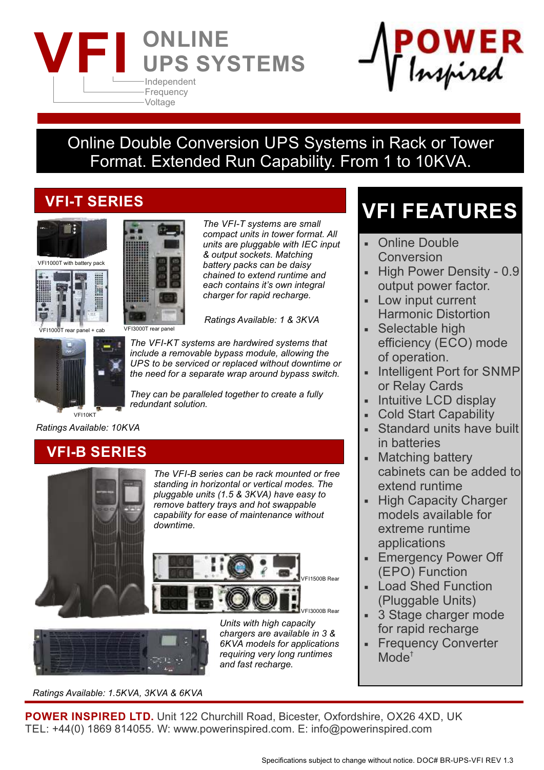



## Online Double Conversion UPS Systems in Rack or Tower Format. Extended Run Capability. From 1 to 10KVA.

### **VFI-T SERIES**







VFI1000T rear panel + cab VFI3000T rear panel



*The VFI-KT systems are hardwired systems that include a removable bypass module, allowing the UPS to be serviced or replaced without downtime or the need for a separate wrap around bypass switch.*

*Ratings Available: 1 & 3KVA*

*The VFI-T systems are small compact units in tower format. All units are pluggable with IEC input & output sockets. Matching battery packs can be daisy chained to extend runtime and each contains it's own integral charger for rapid recharge.*

*They can be paralleled together to create a fully redundant solution.*

VFI10KT

*Ratings Available: 10KVA*



*The VFI-B series can be rack mounted or free standing in horizontal or vertical modes. The pluggable units (1.5 & 3KVA) have easy to remove battery trays and hot swappable capability for ease of maintenance without downtime.* 





*chargers are available in 3 & 6KVA models for applications requiring very long runtimes and fast recharge.*

*Ratings Available: 1.5KVA, 3KVA & 6KVA*

*Units with high capacity* 

# **VFI FEATURES**

- Online Double Conversion
- High Power Density 0.9 output power factor.
- Low input current Harmonic Distortion
- Selectable high efficiency (ECO) mode of operation.
- Intelligent Port for SNMP or Relay Cards
- Intuitive LCD display
- Cold Start Capability
- Standard units have built in batteries
- Matching battery cabinets can be added to extend runtime
- High Capacity Charger models available for extreme runtime applications
- **Emergency Power Off** (EPO) Function
- **Load Shed Function** (Pluggable Units)
- 3 Stage charger mode for rapid recharge
- **Frequency Converter**  $Mode<sup>†</sup>$

**POWER INSPIRED LTD.** Unit 122 Churchill Road, Bicester, Oxfordshire, OX26 4XD, UK TEL: +44(0) 1869 814055. W: www.powerinspired.com. E: info@powerinspired.com